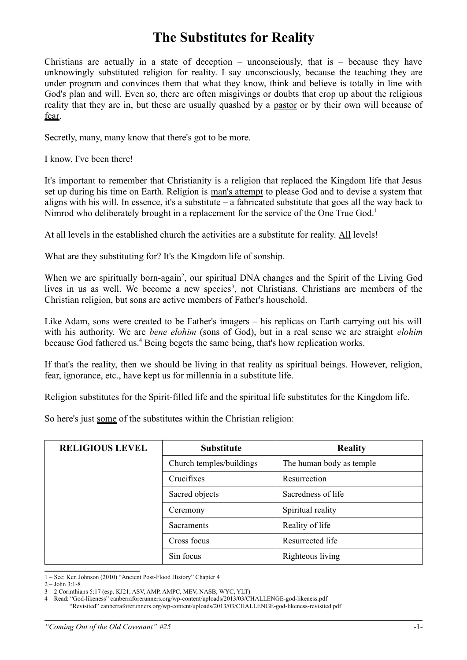## **The Substitutes for Reality**

Christians are actually in a state of deception – unconsciously, that is – because they have unknowingly substituted religion for reality. I say unconsciously, because the teaching they are under program and convinces them that what they know, think and believe is totally in line with God's plan and will. Even so, there are often misgivings or doubts that crop up about the religious reality that they are in, but these are usually quashed by a pastor or by their own will because of fear.

Secretly, many, many know that there's got to be more.

I know, I've been there!

It's important to remember that Christianity is a religion that replaced the Kingdom life that Jesus set up during his time on Earth. Religion is man's attempt to please God and to devise a system that aligns with his will. In essence, it's a substitute – a fabricated substitute that goes all the way back to Nimrod who deliberately brought in a replacement for the service of the One True God.<sup>[1](#page-0-0)</sup>

At all levels in the established church the activities are a substitute for reality. All levels!

What are they substituting for? It's the Kingdom life of sonship.

When we are spiritually born-again<sup>[2](#page-0-1)</sup>, our spiritual DNA changes and the Spirit of the Living God lives in us as well. We become a new species<sup>[3](#page-0-2)</sup>, not Christians. Christians are members of the Christian religion, but sons are active members of Father's household.

Like Adam, sons were created to be Father's imagers – his replicas on Earth carrying out his will with his authority. We are *bene elohim* (sons of God), but in a real sense we are straight *elohim* because God fathered us. [4](#page-0-3) Being begets the same being, that's how replication works.

If that's the reality, then we should be living in that reality as spiritual beings. However, religion, fear, ignorance, etc., have kept us for millennia in a substitute life.

Religion substitutes for the Spirit-filled life and the spiritual life substitutes for the Kingdom life.

So here's just some of the substitutes within the Christian religion:

| <b>RELIGIOUS LEVEL</b> | <b>Substitute</b>        | <b>Reality</b>           |
|------------------------|--------------------------|--------------------------|
|                        | Church temples/buildings | The human body as temple |
|                        | Crucifixes               | Resurrection             |
|                        | Sacred objects           | Sacredness of life       |
|                        | Ceremony                 | Spiritual reality        |
|                        | <b>Sacraments</b>        | Reality of life          |
|                        | Cross focus              | Resurrected life         |
|                        | Sin focus                | Righteous living         |

<span id="page-0-0"></span>1 – See: Ken Johnson (2010) "Ancient Post-Flood History" Chapter 4

<span id="page-0-1"></span> $2 -$ John  $3:1-8$ 

<span id="page-0-2"></span><sup>3 – 2</sup> Corinthians 5:17 (esp. KJ21, ASV, AMP, AMPC, MEV, NASB, WYC, YLT)

<span id="page-0-3"></span><sup>4 –</sup> Read: "God-likeness" canberraforerunners.org/wp-content/uploads/2013/03/CHALLENGE-god-likeness.pdf

 <sup>&</sup>quot;Revisited" canberraforerunners.org/wp-content/uploads/2013/03/CHALLENGE-god-likeness-revisited.pdf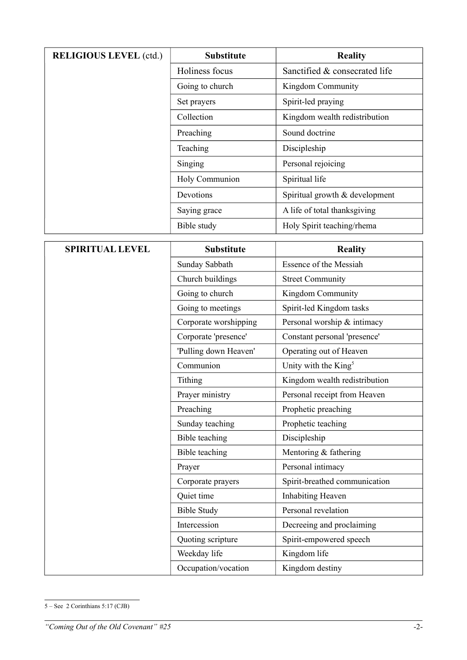| <b>RELIGIOUS LEVEL (ctd.)</b> | <b>Substitute</b>     | <b>Reality</b>                   |
|-------------------------------|-----------------------|----------------------------------|
|                               | Holiness focus        | Sanctified & consecrated life    |
|                               | Going to church       | Kingdom Community                |
|                               | Set prayers           | Spirit-led praying               |
|                               | Collection            | Kingdom wealth redistribution    |
|                               | Preaching             | Sound doctrine                   |
|                               | Teaching              | Discipleship                     |
|                               | Singing               | Personal rejoicing               |
|                               | Holy Communion        | Spiritual life                   |
|                               | Devotions             | Spiritual growth & development   |
|                               | Saying grace          | A life of total thanksgiving     |
|                               | Bible study           | Holy Spirit teaching/rhema       |
| <b>SPIRITUAL LEVEL</b>        | <b>Substitute</b>     | <b>Reality</b>                   |
|                               | Sunday Sabbath        | <b>Essence of the Messiah</b>    |
|                               | Church buildings      | <b>Street Community</b>          |
|                               | Going to church       | Kingdom Community                |
|                               | Going to meetings     | Spirit-led Kingdom tasks         |
|                               | Corporate worshipping | Personal worship & intimacy      |
|                               | Corporate 'presence'  | Constant personal 'presence'     |
|                               | 'Pulling down Heaven' | Operating out of Heaven          |
|                               | Communion             | Unity with the King <sup>5</sup> |
|                               | Tithing               | Kingdom wealth redistribution    |
|                               | Prayer ministry       | Personal receipt from Heaven     |
|                               | Preaching             | Prophetic preaching              |
|                               | Sunday teaching       | Prophetic teaching               |
|                               | <b>Bible</b> teaching | Discipleship                     |
|                               | <b>Bible</b> teaching | Mentoring & fathering            |
|                               | Prayer                | Personal intimacy                |
|                               | Corporate prayers     | Spirit-breathed communication    |
|                               | Quiet time            | <b>Inhabiting Heaven</b>         |
|                               | <b>Bible Study</b>    | Personal revelation              |
|                               | Intercession          | Decreeing and proclaiming        |
|                               | Quoting scripture     | Spirit-empowered speech          |
|                               | Weekday life          | Kingdom life                     |
|                               | Occupation/vocation   | Kingdom destiny                  |

<span id="page-1-0"></span> $5 - \text{See } 2 \text{ Corinthians } 5:17 \text{ (CJB)}$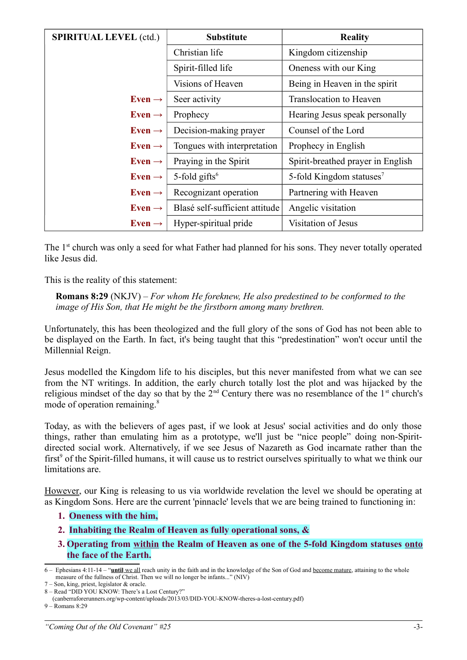| <b>SPIRITUAL LEVEL (ctd.)</b> | <b>Substitute</b>              | <b>Reality</b>                       |
|-------------------------------|--------------------------------|--------------------------------------|
|                               | Christian life                 | Kingdom citizenship                  |
|                               | Spirit-filled life             | Oneness with our King                |
|                               | Visions of Heaven              | Being in Heaven in the spirit        |
| Even $\rightarrow$            | Seer activity                  | Translocation to Heaven              |
| Even $\rightarrow$            | Prophecy                       | Hearing Jesus speak personally       |
| Even $\rightarrow$            | Decision-making prayer         | Counsel of the Lord                  |
| Even $\rightarrow$            | Tongues with interpretation    | Prophecy in English                  |
| Even $\rightarrow$            | Praying in the Spirit          | Spirit-breathed prayer in English    |
| Even $\rightarrow$            | 5-fold gifts $6$               | 5-fold Kingdom statuses <sup>7</sup> |
| Even $\rightarrow$            | Recognizant operation          | Partnering with Heaven               |
| Even $\rightarrow$            | Blasé self-sufficient attitude | Angelic visitation                   |
| Even $\rightarrow$            | Hyper-spiritual pride          | Visitation of Jesus                  |

The 1<sup>st</sup> church was only a seed for what Father had planned for his sons. They never totally operated like Jesus did.

This is the reality of this statement:

**Romans 8:29** (NKJV) – *For whom He foreknew, He also predestined to be conformed to the image of His Son, that He might be the firstborn among many brethren.* 

Unfortunately, this has been theologized and the full glory of the sons of God has not been able to be displayed on the Earth. In fact, it's being taught that this "predestination" won't occur until the Millennial Reign.

Jesus modelled the Kingdom life to his disciples, but this never manifested from what we can see from the NT writings. In addition, the early church totally lost the plot and was hijacked by the religious mindset of the day so that by the  $2<sup>nd</sup>$  Century there was no resemblance of the  $1<sup>st</sup>$  church's mode of operation remaining.<sup>[8](#page-2-2)</sup>

Today, as with the believers of ages past, if we look at Jesus' social activities and do only those things, rather than emulating him as a prototype, we'll just be "nice people" doing non-Spiritdirected social work. Alternatively, if we see Jesus of Nazareth as God incarnate rather than the first<sup>[9](#page-2-3)</sup> of the Spirit-filled humans, it will cause us to restrict ourselves spiritually to what we think our limitations are.

However, our King is releasing to us via worldwide revelation the level we should be operating at as Kingdom Sons. Here are the current 'pinnacle' levels that we are being trained to functioning in:

## **1. Oneness with the him,**

- **2. Inhabiting the Realm of Heaven as fully operational sons, &**
- **3. Operating from within the Realm of Heaven as one of the 5-fold Kingdom statuses onto the face of the Earth.**

<span id="page-2-0"></span><sup>6 –</sup> Ephesians 4:11-14 – " **until** we all reach unity in the faith and in the knowledge of the Son of God and become mature, attaining to the whole measure of the fullness of Christ. Then we will no longer be infants..." (NIV)

<span id="page-2-1"></span><sup>7 –</sup> Son, king, priest, legislator & oracle.

<span id="page-2-2"></span><sup>8 –</sup> Read "DID YOU KNOW: There's a Lost Century?"

 <sup>(</sup>canberraforerunners.org/wp-content/uploads/2013/03/DID-YOU-KNOW-theres-a-lost-century.pdf)

<span id="page-2-3"></span><sup>9 –</sup> Romans 8:29